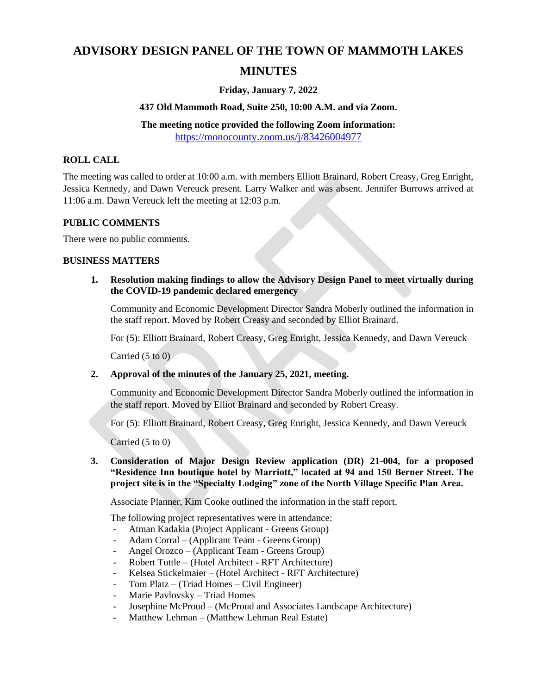# **ADVISORY DESIGN PANEL OF THE TOWN OF MAMMOTH LAKES**

# **MINUTES**

## **Friday, January 7, 2022**

#### **437 Old Mammoth Road, Suite 250, 10:00 A.M. and via Zoom.**

# **The meeting notice provided the following Zoom information:**

<https://monocounty.zoom.us/j/83426004977>

### **ROLL CALL**

The meeting was called to order at 10:00 a.m. with members Elliott Brainard, Robert Creasy, Greg Enright, Jessica Kennedy, and Dawn Vereuck present. Larry Walker and was absent. Jennifer Burrows arrived at 11:06 a.m. Dawn Vereuck left the meeting at 12:03 p.m.

#### **PUBLIC COMMENTS**

There were no public comments.

#### **BUSINESS MATTERS**

**1. Resolution making findings to allow the Advisory Design Panel to meet virtually during the COVID-19 pandemic declared emergency**

Community and Economic Development Director Sandra Moberly outlined the information in the staff report. Moved by Robert Creasy and seconded by Elliot Brainard.

For (5): Elliott Brainard, Robert Creasy, Greg Enright, Jessica Kennedy, and Dawn Vereuck

Carried (5 to 0)

#### **2. Approval of the minutes of the January 25, 2021, meeting.**

Community and Economic Development Director Sandra Moberly outlined the information in the staff report. Moved by Elliot Brainard and seconded by Robert Creasy.

For (5): Elliott Brainard, Robert Creasy, Greg Enright, Jessica Kennedy, and Dawn Vereuck

Carried (5 to 0)

**3. Consideration of Major Design Review application (DR) 21-004, for a proposed "Residence Inn boutique hotel by Marriott," located at 94 and 150 Berner Street. The project site is in the "Specialty Lodging" zone of the North Village Specific Plan Area.**

Associate Planner, Kim Cooke outlined the information in the staff report.

The following project representatives were in attendance:

- Atman Kadakia (Project Applicant Greens Group)
- Adam Corral (Applicant Team Greens Group)
- Angel Orozco (Applicant Team Greens Group)
- Robert Tuttle (Hotel Architect RFT Architecture)
- Kelsea Stickelmaier (Hotel Architect RFT Architecture)
- Tom Platz (Triad Homes Civil Engineer)
- Marie Pavlovsky Triad Homes
- Josephine McProud (McProud and Associates Landscape Architecture)
- Matthew Lehman (Matthew Lehman Real Estate)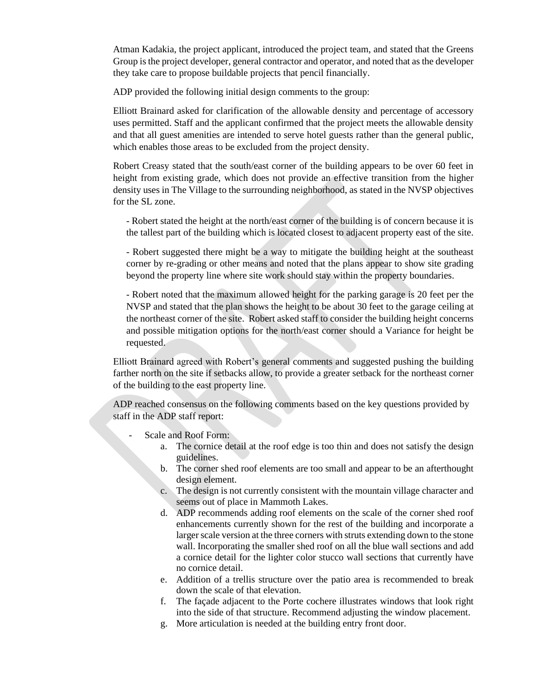Atman Kadakia, the project applicant, introduced the project team, and stated that the Greens Group is the project developer, general contractor and operator, and noted that as the developer they take care to propose buildable projects that pencil financially.

ADP provided the following initial design comments to the group:

Elliott Brainard asked for clarification of the allowable density and percentage of accessory uses permitted. Staff and the applicant confirmed that the project meets the allowable density and that all guest amenities are intended to serve hotel guests rather than the general public, which enables those areas to be excluded from the project density.

Robert Creasy stated that the south/east corner of the building appears to be over 60 feet in height from existing grade, which does not provide an effective transition from the higher density uses in The Village to the surrounding neighborhood, as stated in the NVSP objectives for the SL zone.

- Robert stated the height at the north/east corner of the building is of concern because it is the tallest part of the building which is located closest to adjacent property east of the site.

- Robert suggested there might be a way to mitigate the building height at the southeast corner by re-grading or other means and noted that the plans appear to show site grading beyond the property line where site work should stay within the property boundaries.

- Robert noted that the maximum allowed height for the parking garage is 20 feet per the NVSP and stated that the plan shows the height to be about 30 feet to the garage ceiling at the northeast corner of the site. Robert asked staff to consider the building height concerns and possible mitigation options for the north/east corner should a Variance for height be requested.

Elliott Brainard agreed with Robert's general comments and suggested pushing the building farther north on the site if setbacks allow, to provide a greater setback for the northeast corner of the building to the east property line.

ADP reached consensus on the following comments based on the key questions provided by staff in the ADP staff report:

- Scale and Roof Form:
	- a. The cornice detail at the roof edge is too thin and does not satisfy the design guidelines.
	- b. The corner shed roof elements are too small and appear to be an afterthought design element.
	- c. The design is not currently consistent with the mountain village character and seems out of place in Mammoth Lakes.
	- d. ADP recommends adding roof elements on the scale of the corner shed roof enhancements currently shown for the rest of the building and incorporate a larger scale version at the three corners with struts extending down to the stone wall. Incorporating the smaller shed roof on all the blue wall sections and add a cornice detail for the lighter color stucco wall sections that currently have no cornice detail.
	- e. Addition of a trellis structure over the patio area is recommended to break down the scale of that elevation.
	- f. The façade adjacent to the Porte cochere illustrates windows that look right into the side of that structure. Recommend adjusting the window placement.
	- g. More articulation is needed at the building entry front door.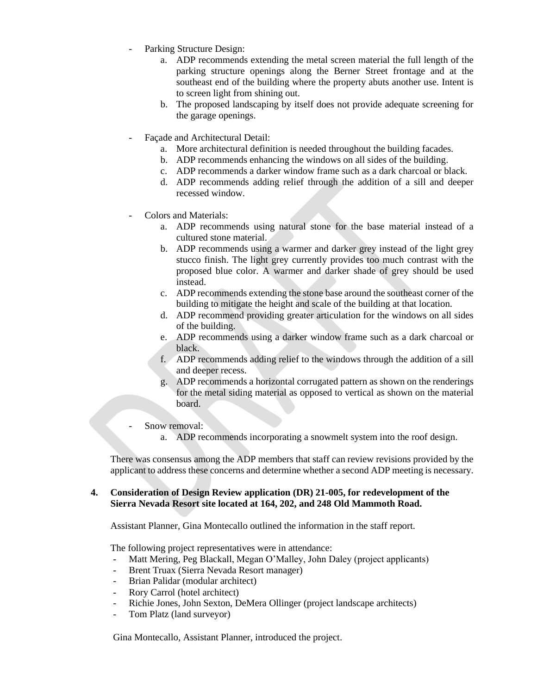- Parking Structure Design:
	- a. ADP recommends extending the metal screen material the full length of the parking structure openings along the Berner Street frontage and at the southeast end of the building where the property abuts another use. Intent is to screen light from shining out.
	- b. The proposed landscaping by itself does not provide adequate screening for the garage openings.
- Facade and Architectural Detail:
	- a. More architectural definition is needed throughout the building facades.
	- b. ADP recommends enhancing the windows on all sides of the building.
	- c. ADP recommends a darker window frame such as a dark charcoal or black.
	- d. ADP recommends adding relief through the addition of a sill and deeper recessed window.
- Colors and Materials:
	- a. ADP recommends using natural stone for the base material instead of a cultured stone material.
	- b. ADP recommends using a warmer and darker grey instead of the light grey stucco finish. The light grey currently provides too much contrast with the proposed blue color. A warmer and darker shade of grey should be used instead.
	- c. ADP recommends extending the stone base around the southeast corner of the building to mitigate the height and scale of the building at that location.
	- d. ADP recommend providing greater articulation for the windows on all sides of the building.
	- e. ADP recommends using a darker window frame such as a dark charcoal or black.
	- f. ADP recommends adding relief to the windows through the addition of a sill and deeper recess.
	- g. ADP recommends a horizontal corrugated pattern as shown on the renderings for the metal siding material as opposed to vertical as shown on the material board.
	- Snow removal:
		- a. ADP recommends incorporating a snowmelt system into the roof design.

There was consensus among the ADP members that staff can review revisions provided by the applicant to address these concerns and determine whether a second ADP meeting is necessary.

#### **4. Consideration of Design Review application (DR) 21-005, for redevelopment of the Sierra Nevada Resort site located at 164, 202, and 248 Old Mammoth Road.**

Assistant Planner, Gina Montecallo outlined the information in the staff report.

The following project representatives were in attendance:

- Matt Mering, Peg Blackall, Megan O'Malley, John Daley (project applicants)
- Brent Truax (Sierra Nevada Resort manager)
- Brian Palidar (modular architect)
- Rory Carrol (hotel architect)
- Richie Jones, John Sexton, DeMera Ollinger (project landscape architects)
- Tom Platz (land surveyor)

Gina Montecallo, Assistant Planner, introduced the project.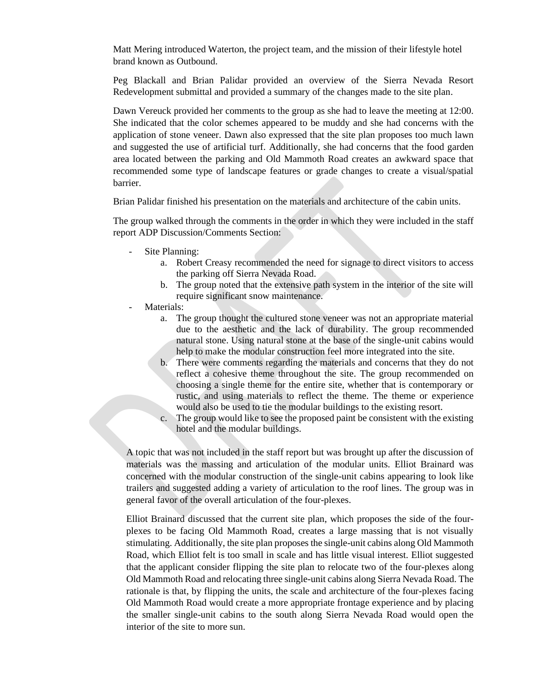Matt Mering introduced Waterton, the project team, and the mission of their lifestyle hotel brand known as Outbound.

Peg Blackall and Brian Palidar provided an overview of the Sierra Nevada Resort Redevelopment submittal and provided a summary of the changes made to the site plan.

Dawn Vereuck provided her comments to the group as she had to leave the meeting at 12:00. She indicated that the color schemes appeared to be muddy and she had concerns with the application of stone veneer. Dawn also expressed that the site plan proposes too much lawn and suggested the use of artificial turf. Additionally, she had concerns that the food garden area located between the parking and Old Mammoth Road creates an awkward space that recommended some type of landscape features or grade changes to create a visual/spatial barrier.

Brian Palidar finished his presentation on the materials and architecture of the cabin units.

The group walked through the comments in the order in which they were included in the staff report ADP Discussion/Comments Section:

- Site Planning:
	- a. Robert Creasy recommended the need for signage to direct visitors to access the parking off Sierra Nevada Road.
	- b. The group noted that the extensive path system in the interior of the site will require significant snow maintenance.
- Materials:
	- a. The group thought the cultured stone veneer was not an appropriate material due to the aesthetic and the lack of durability. The group recommended natural stone. Using natural stone at the base of the single-unit cabins would help to make the modular construction feel more integrated into the site.
	- b. There were comments regarding the materials and concerns that they do not reflect a cohesive theme throughout the site. The group recommended on choosing a single theme for the entire site, whether that is contemporary or rustic, and using materials to reflect the theme. The theme or experience would also be used to tie the modular buildings to the existing resort.
	- c. The group would like to see the proposed paint be consistent with the existing hotel and the modular buildings.

A topic that was not included in the staff report but was brought up after the discussion of materials was the massing and articulation of the modular units. Elliot Brainard was concerned with the modular construction of the single-unit cabins appearing to look like trailers and suggested adding a variety of articulation to the roof lines. The group was in general favor of the overall articulation of the four-plexes.

Elliot Brainard discussed that the current site plan, which proposes the side of the fourplexes to be facing Old Mammoth Road, creates a large massing that is not visually stimulating. Additionally, the site plan proposes the single-unit cabins along Old Mammoth Road, which Elliot felt is too small in scale and has little visual interest. Elliot suggested that the applicant consider flipping the site plan to relocate two of the four-plexes along Old Mammoth Road and relocating three single-unit cabins along Sierra Nevada Road. The rationale is that, by flipping the units, the scale and architecture of the four-plexes facing Old Mammoth Road would create a more appropriate frontage experience and by placing the smaller single-unit cabins to the south along Sierra Nevada Road would open the interior of the site to more sun.